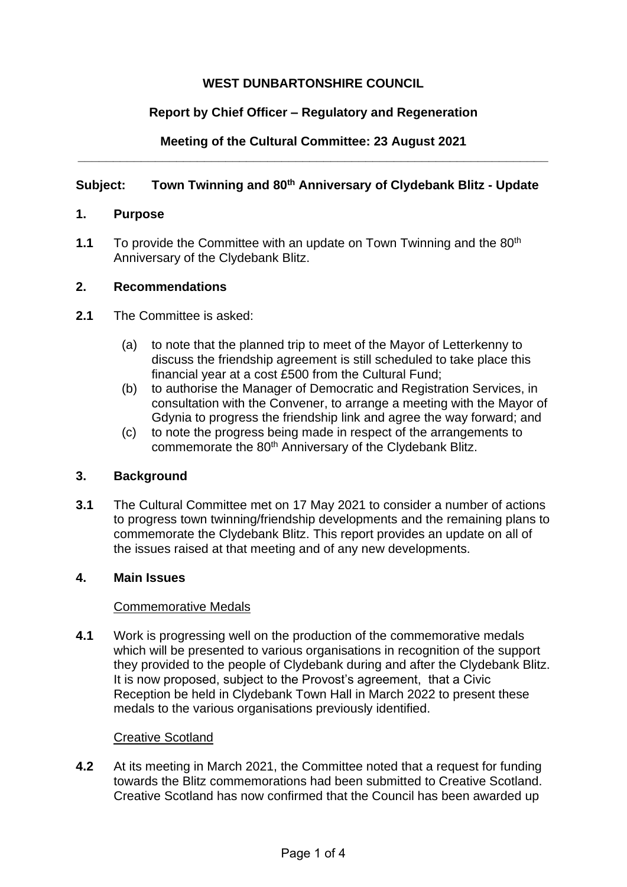# **WEST DUNBARTONSHIRE COUNCIL**

## **Report by Chief Officer – Regulatory and Regeneration**

### **Meeting of the Cultural Committee: 23 August 2021 \_\_\_\_\_\_\_\_\_\_\_\_\_\_\_\_\_\_\_\_\_\_\_\_\_\_\_\_\_\_\_\_\_\_\_\_\_\_\_\_\_\_\_\_\_\_\_\_\_\_\_\_\_\_\_\_\_\_\_\_\_\_\_\_\_\_\_**

## **Subject: Town Twinning and 80th Anniversary of Clydebank Blitz - Update**

### **1. Purpose**

**1.1** To provide the Committee with an update on Town Twinning and the 80<sup>th</sup> Anniversary of the Clydebank Blitz.

### **2. Recommendations**

- **2.1** The Committee is asked:
	- (a) to note that the planned trip to meet of the Mayor of Letterkenny to discuss the friendship agreement is still scheduled to take place this financial year at a cost £500 from the Cultural Fund;
	- (b) to authorise the Manager of Democratic and Registration Services, in consultation with the Convener, to arrange a meeting with the Mayor of Gdynia to progress the friendship link and agree the way forward; and
	- (c) to note the progress being made in respect of the arrangements to commemorate the 80<sup>th</sup> Anniversary of the Clydebank Blitz.

### **3. Background**

**3.1** The Cultural Committee met on 17 May 2021 to consider a number of actions to progress town twinning/friendship developments and the remaining plans to commemorate the Clydebank Blitz. This report provides an update on all of the issues raised at that meeting and of any new developments.

### **4. Main Issues**

### Commemorative Medals

**4.1** Work is progressing well on the production of the commemorative medals which will be presented to various organisations in recognition of the support they provided to the people of Clydebank during and after the Clydebank Blitz. It is now proposed, subject to the Provost's agreement, that a Civic Reception be held in Clydebank Town Hall in March 2022 to present these medals to the various organisations previously identified.

### Creative Scotland

**4.2** At its meeting in March 2021, the Committee noted that a request for funding towards the Blitz commemorations had been submitted to Creative Scotland. Creative Scotland has now confirmed that the Council has been awarded up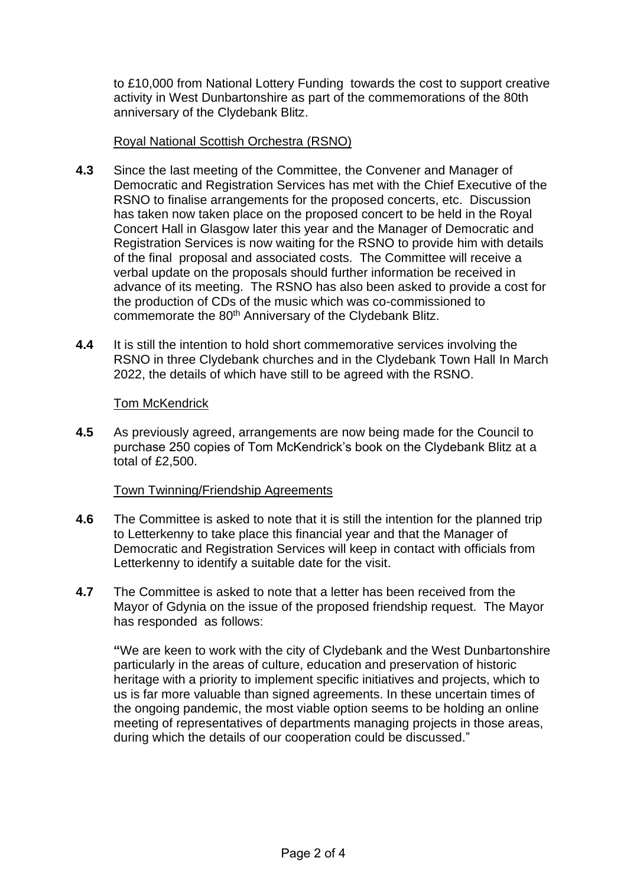to £10,000 from National Lottery Funding towards the cost to support creative activity in West Dunbartonshire as part of the commemorations of the 80th anniversary of the Clydebank Blitz.

### Royal National Scottish Orchestra (RSNO)

- **4.3** Since the last meeting of the Committee, the Convener and Manager of Democratic and Registration Services has met with the Chief Executive of the RSNO to finalise arrangements for the proposed concerts, etc. Discussion has taken now taken place on the proposed concert to be held in the Royal Concert Hall in Glasgow later this year and the Manager of Democratic and Registration Services is now waiting for the RSNO to provide him with details of the final proposal and associated costs. The Committee will receive a verbal update on the proposals should further information be received in advance of its meeting. The RSNO has also been asked to provide a cost for the production of CDs of the music which was co-commissioned to commemorate the 80<sup>th</sup> Anniversary of the Clydebank Blitz.
- **4.4** It is still the intention to hold short commemorative services involving the RSNO in three Clydebank churches and in the Clydebank Town Hall In March 2022, the details of which have still to be agreed with the RSNO.

### **Tom McKendrick**

**4.5** As previously agreed, arrangements are now being made for the Council to purchase 250 copies of Tom McKendrick's book on the Clydebank Blitz at a total of £2,500.

### Town Twinning/Friendship Agreements

- **4.6** The Committee is asked to note that it is still the intention for the planned trip to Letterkenny to take place this financial year and that the Manager of Democratic and Registration Services will keep in contact with officials from Letterkenny to identify a suitable date for the visit.
- **4.7** The Committee is asked to note that a letter has been received from the Mayor of Gdynia on the issue of the proposed friendship request. The Mayor has responded as follows:

**"**We are keen to work with the city of Clydebank and the West Dunbartonshire particularly in the areas of culture, education and preservation of historic heritage with a priority to implement specific initiatives and projects, which to us is far more valuable than signed agreements. In these uncertain times of the ongoing pandemic, the most viable option seems to be holding an online meeting of representatives of departments managing projects in those areas, during which the details of our cooperation could be discussed."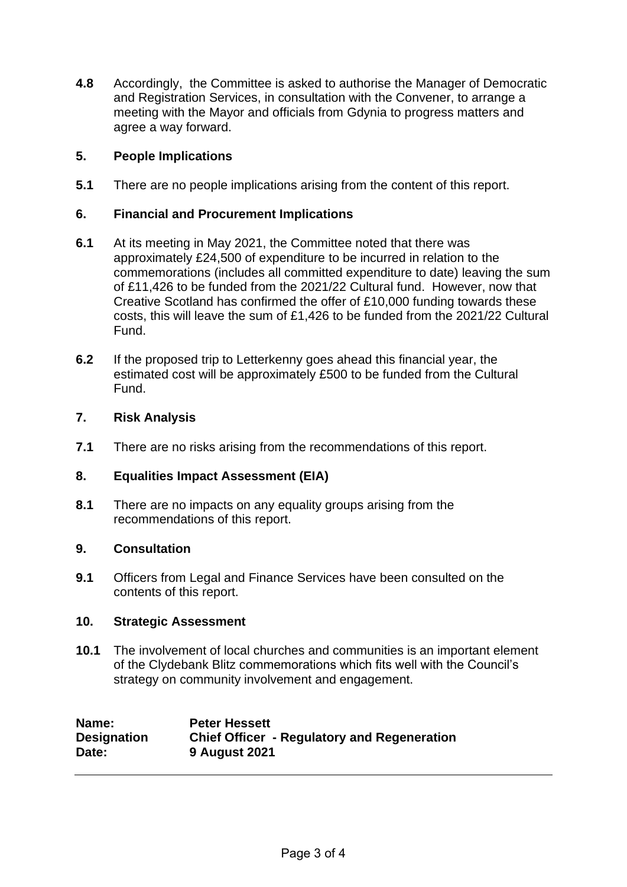**4.8** Accordingly, the Committee is asked to authorise the Manager of Democratic and Registration Services, in consultation with the Convener, to arrange a meeting with the Mayor and officials from Gdynia to progress matters and agree a way forward.

### **5. People Implications**

**5.1** There are no people implications arising from the content of this report.

### **6. Financial and Procurement Implications**

- **6.1** At its meeting in May 2021, the Committee noted that there was approximately £24,500 of expenditure to be incurred in relation to the commemorations (includes all committed expenditure to date) leaving the sum of £11,426 to be funded from the 2021/22 Cultural fund. However, now that Creative Scotland has confirmed the offer of £10,000 funding towards these costs, this will leave the sum of £1,426 to be funded from the 2021/22 Cultural Fund.
- **6.2** If the proposed trip to Letterkenny goes ahead this financial year, the estimated cost will be approximately £500 to be funded from the Cultural Fund.

### **7. Risk Analysis**

**7.1** There are no risks arising from the recommendations of this report.

### **8. Equalities Impact Assessment (EIA)**

**8.1** There are no impacts on any equality groups arising from the recommendations of this report.

### **9. Consultation**

**9.1** Officers from Legal and Finance Services have been consulted on the contents of this report.

### **10. Strategic Assessment**

**10.1** The involvement of local churches and communities is an important element of the Clydebank Blitz commemorations which fits well with the Council's strategy on community involvement and engagement.

| Name:              | <b>Peter Hessett</b>                               |
|--------------------|----------------------------------------------------|
| <b>Designation</b> | <b>Chief Officer - Regulatory and Regeneration</b> |
| Date:              | <b>9 August 2021</b>                               |